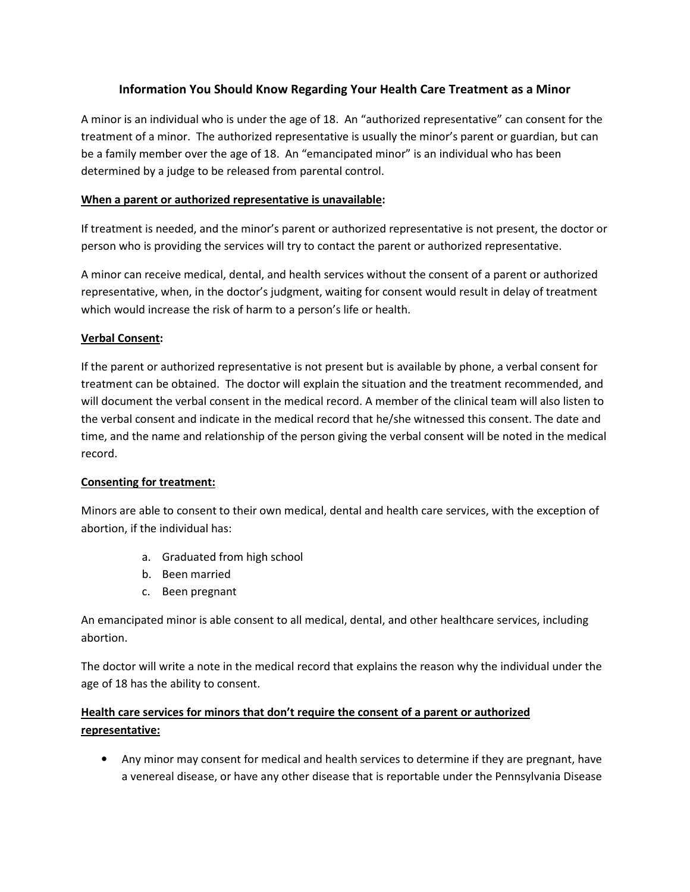## **Information You Should Know Regarding Your Health Care Treatment as a Minor**

A minor is an individual who is under the age of 18. An "authorized representative" can consent for the treatment of a minor. The authorized representative is usually the minor's parent or guardian, but can be a family member over the age of 18. An "emancipated minor" is an individual who has been determined by a judge to be released from parental control.

### **When a parent or authorized representative is unavailable:**

If treatment is needed, and the minor's parent or authorized representative is not present, the doctor or person who is providing the services will try to contact the parent or authorized representative.

A minor can receive medical, dental, and health services without the consent of a parent or authorized representative, when, in the doctor's judgment, waiting for consent would result in delay of treatment which would increase the risk of harm to a person's life or health.

### **Verbal Consent:**

If the parent or authorized representative is not present but is available by phone, a verbal consent for treatment can be obtained. The doctor will explain the situation and the treatment recommended, and will document the verbal consent in the medical record. A member of the clinical team will also listen to the verbal consent and indicate in the medical record that he/she witnessed this consent. The date and time, and the name and relationship of the person giving the verbal consent will be noted in the medical record.

#### **Consenting for treatment:**

Minors are able to consent to their own medical, dental and health care services, with the exception of abortion, if the individual has:

- a. Graduated from high school
- b. Been married
- c. Been pregnant

An emancipated minor is able consent to all medical, dental, and other healthcare services, including abortion.

The doctor will write a note in the medical record that explains the reason why the individual under the age of 18 has the ability to consent.

# **Health care services for minors that don't require the consent of a parent or authorized representative:**

• Any minor may consent for medical and health services to determine if they are pregnant, have a venereal disease, or have any other disease that is reportable under the Pennsylvania Disease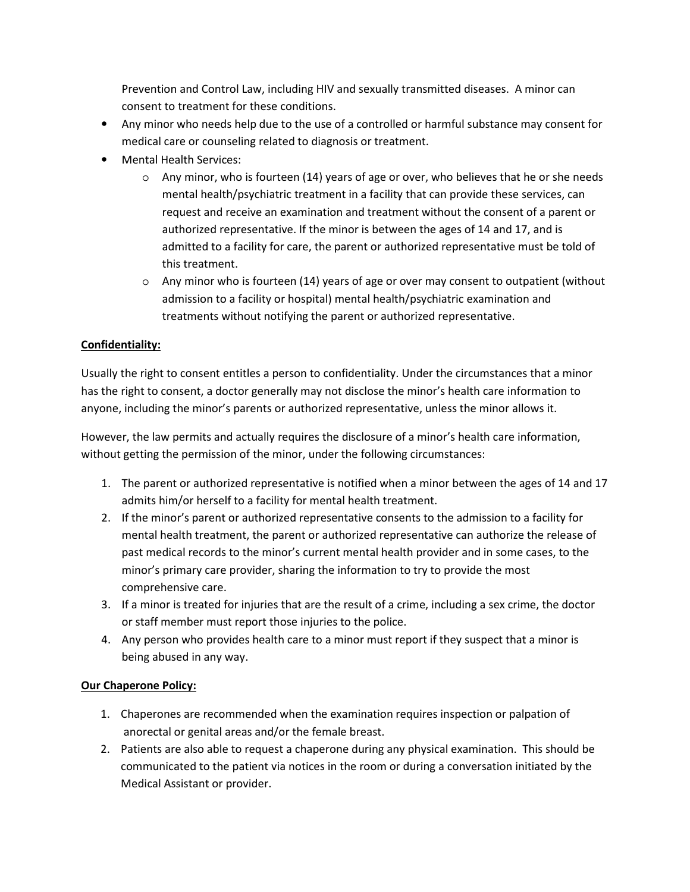Prevention and Control Law, including HIV and sexually transmitted diseases. A minor can consent to treatment for these conditions.

- Any minor who needs help due to the use of a controlled or harmful substance may consent for medical care or counseling related to diagnosis or treatment.
- Mental Health Services:
	- $\circ$  Any minor, who is fourteen (14) years of age or over, who believes that he or she needs mental health/psychiatric treatment in a facility that can provide these services, can request and receive an examination and treatment without the consent of a parent or authorized representative. If the minor is between the ages of 14 and 17, and is admitted to a facility for care, the parent or authorized representative must be told of this treatment.
	- $\circ$  Any minor who is fourteen (14) years of age or over may consent to outpatient (without admission to a facility or hospital) mental health/psychiatric examination and treatments without notifying the parent or authorized representative.

# **Confidentiality:**

Usually the right to consent entitles a person to confidentiality. Under the circumstances that a minor has the right to consent, a doctor generally may not disclose the minor's health care information to anyone, including the minor's parents or authorized representative, unless the minor allows it.

However, the law permits and actually requires the disclosure of a minor's health care information, without getting the permission of the minor, under the following circumstances:

- 1. The parent or authorized representative is notified when a minor between the ages of 14 and 17 admits him/or herself to a facility for mental health treatment.
- 2. If the minor's parent or authorized representative consents to the admission to a facility for mental health treatment, the parent or authorized representative can authorize the release of past medical records to the minor's current mental health provider and in some cases, to the minor's primary care provider, sharing the information to try to provide the most comprehensive care.
- 3. If a minor is treated for injuries that are the result of a crime, including a sex crime, the doctor or staff member must report those injuries to the police.
- 4. Any person who provides health care to a minor must report if they suspect that a minor is being abused in any way.

## **Our Chaperone Policy:**

- 1. Chaperones are recommended when the examination requires inspection or palpation of anorectal or genital areas and/or the female breast.
- 2. Patients are also able to request a chaperone during any physical examination. This should be communicated to the patient via notices in the room or during a conversation initiated by the Medical Assistant or provider.